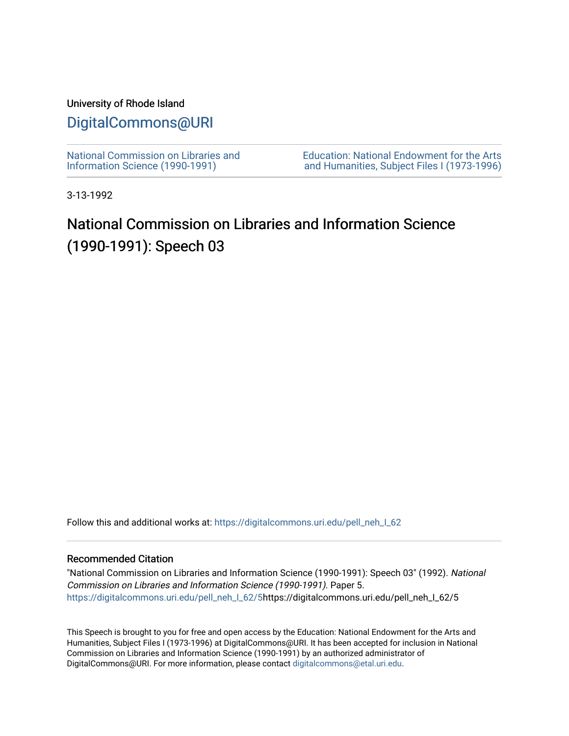### University of Rhode Island

## [DigitalCommons@URI](https://digitalcommons.uri.edu/)

[National Commission on Libraries and](https://digitalcommons.uri.edu/pell_neh_I_62) [Information Science \(1990-1991\)](https://digitalcommons.uri.edu/pell_neh_I_62) 

[Education: National Endowment for the Arts](https://digitalcommons.uri.edu/pell_neh_I)  [and Humanities, Subject Files I \(1973-1996\)](https://digitalcommons.uri.edu/pell_neh_I) 

3-13-1992

# National Commission on Libraries and Information Science (1990-1991): Speech 03

Follow this and additional works at: https://digitalcommons.uri.edu/pell\_neh\_I\_62

#### Recommended Citation

"National Commission on Libraries and Information Science (1990-1991): Speech 03" (1992). National Commission on Libraries and Information Science (1990-1991). Paper 5. [https://digitalcommons.uri.edu/pell\\_neh\\_I\\_62/5h](https://digitalcommons.uri.edu/pell_neh_I_62/5?utm_source=digitalcommons.uri.edu%2Fpell_neh_I_62%2F5&utm_medium=PDF&utm_campaign=PDFCoverPages)ttps://digitalcommons.uri.edu/pell\_neh\_I\_62/5

This Speech is brought to you for free and open access by the Education: National Endowment for the Arts and Humanities, Subject Files I (1973-1996) at DigitalCommons@URI. It has been accepted for inclusion in National Commission on Libraries and Information Science (1990-1991) by an authorized administrator of DigitalCommons@URI. For more information, please contact [digitalcommons@etal.uri.edu.](mailto:digitalcommons@etal.uri.edu)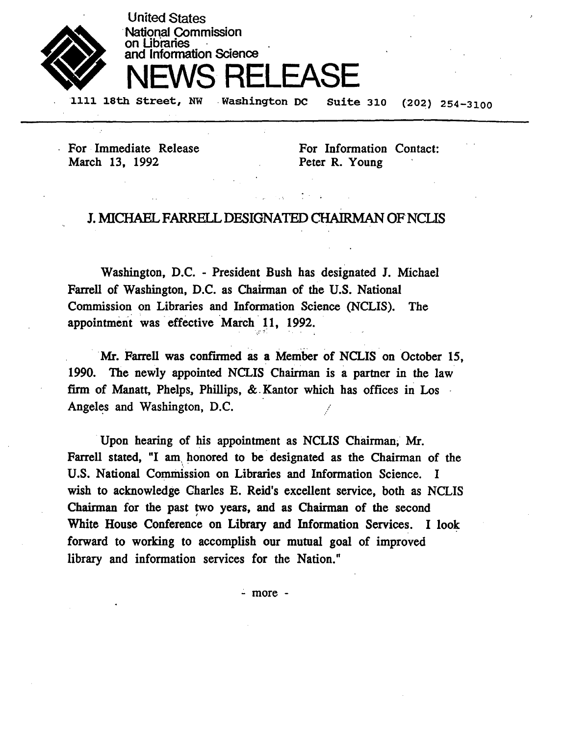

**National Commission** on Libraries and lnfonnation Science NEWS RELEASE

1111 18th Street, NW . Washington DC . Suite 310 (202) 254-3100

For Immediate Release March 13, 1992

United States

For Information Contact: Peter R. Young

### J. MICHAEL FARRELL DESIGNATED CHAIRMAN OF NCLIS

Washington, D.C. - President Bush has designated J. Michael Farrell of Washington, D.C. as Chairman of the U.S. National Commission on Libraries and Information Science (NCLIS). The appointment was effective March 11, 1992.  $\sim$   $\sim$   $\sim$   $\sim$   $\sim$ 

Mr. Farrell was confirmed as a Member of NCLIS on October 15, 1990. The newly appointed NCLIS Chairman is a partner in the law firm of Manatt, Phelps, Phillips, & . Kantor which has offices in Los Angeles and Washington, D.C.

Upon hearing of his appointment as NCLIS Chairman, Mr. Farrell stated, "I am honored to be designated as the Chairman of the U.S. National Commission on Libraries and Information Science. I wish to acknowledge Charles E. Reid's excellent service, both as NCLIS Chairman for the past two years, and as Chairman of the second White House Conference on Library and Information Services. I look forward to working to accomplish our mutual goal of improved library and information services for the Nation."

.:. more -